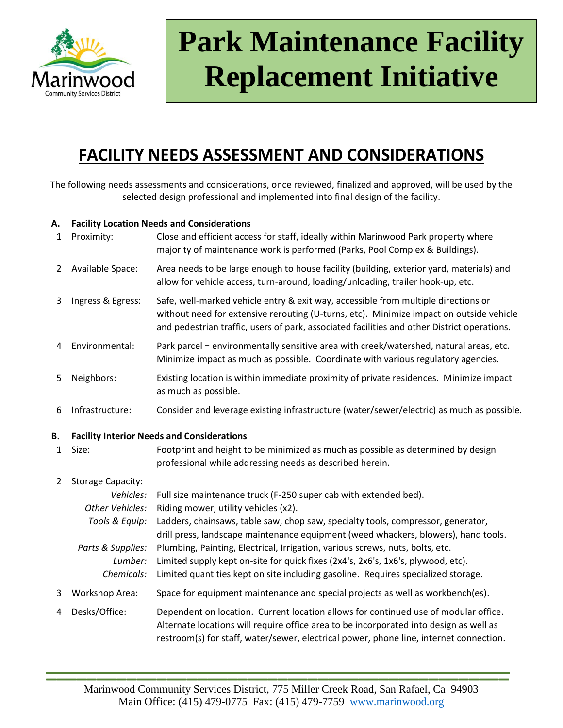

# **Park Maintenance Facility Replacement Initiative**

# **FACILITY NEEDS ASSESSMENT AND CONSIDERATIONS**

The following needs assessments and considerations, once reviewed, finalized and approved, will be used by the selected design professional and implemented into final design of the facility.

## **A. Facility Location Needs and Considerations**

| $\mathbf{1}$   | Proximity:                                        | Close and efficient access for staff, ideally within Marinwood Park property where<br>majority of maintenance work is performed (Parks, Pool Complex & Buildings).                                                                                                           |  |
|----------------|---------------------------------------------------|------------------------------------------------------------------------------------------------------------------------------------------------------------------------------------------------------------------------------------------------------------------------------|--|
| $\overline{2}$ | Available Space:                                  | Area needs to be large enough to house facility (building, exterior yard, materials) and<br>allow for vehicle access, turn-around, loading/unloading, trailer hook-up, etc.                                                                                                  |  |
| 3              | Ingress & Egress:                                 | Safe, well-marked vehicle entry & exit way, accessible from multiple directions or<br>without need for extensive rerouting (U-turns, etc). Minimize impact on outside vehicle<br>and pedestrian traffic, users of park, associated facilities and other District operations. |  |
| 4              | Environmental:                                    | Park parcel = environmentally sensitive area with creek/watershed, natural areas, etc.<br>Minimize impact as much as possible. Coordinate with various regulatory agencies.                                                                                                  |  |
| 5              | Neighbors:                                        | Existing location is within immediate proximity of private residences. Minimize impact<br>as much as possible.                                                                                                                                                               |  |
| 6              | Infrastructure:                                   | Consider and leverage existing infrastructure (water/sewer/electric) as much as possible.                                                                                                                                                                                    |  |
| Β.             | <b>Facility Interior Needs and Considerations</b> |                                                                                                                                                                                                                                                                              |  |
| $\mathbf{1}$   | Size:                                             | Footprint and height to be minimized as much as possible as determined by design<br>professional while addressing needs as described herein.                                                                                                                                 |  |
| $\overline{2}$ | <b>Storage Capacity:</b>                          |                                                                                                                                                                                                                                                                              |  |
|                | Vehicles:                                         | Full size maintenance truck (F-250 super cab with extended bed).                                                                                                                                                                                                             |  |
|                | Other Vehicles:<br>Tools & Equip:                 | Riding mower; utility vehicles (x2).<br>Ladders, chainsaws, table saw, chop saw, specialty tools, compressor, generator,<br>drill press, landscape maintenance equipment (weed whackers, blowers), hand tools.                                                               |  |
|                | Parts & Supplies:                                 | Plumbing, Painting, Electrical, Irrigation, various screws, nuts, bolts, etc.                                                                                                                                                                                                |  |
|                | Lumber:                                           | Limited supply kept on-site for quick fixes (2x4's, 2x6's, 1x6's, plywood, etc).                                                                                                                                                                                             |  |
|                | Chemicals:                                        | Limited quantities kept on site including gasoline. Requires specialized storage.                                                                                                                                                                                            |  |
| 3              | <b>Workshop Area:</b>                             | Space for equipment maintenance and special projects as well as workbench(es).                                                                                                                                                                                               |  |
| 4              | Desks/Office:                                     | Dependent on location. Current location allows for continued use of modular office.<br>Alternate locations will require office area to be incorporated into design as well as<br>restroom(s) for staff, water/sewer, electrical power, phone line, internet connection.      |  |
|                |                                                   |                                                                                                                                                                                                                                                                              |  |

**\_\_\_\_\_\_\_\_\_\_\_\_\_\_\_\_\_\_\_\_\_\_\_\_\_\_\_\_\_\_\_\_\_\_\_\_\_\_\_\_\_\_\_\_\_\_**